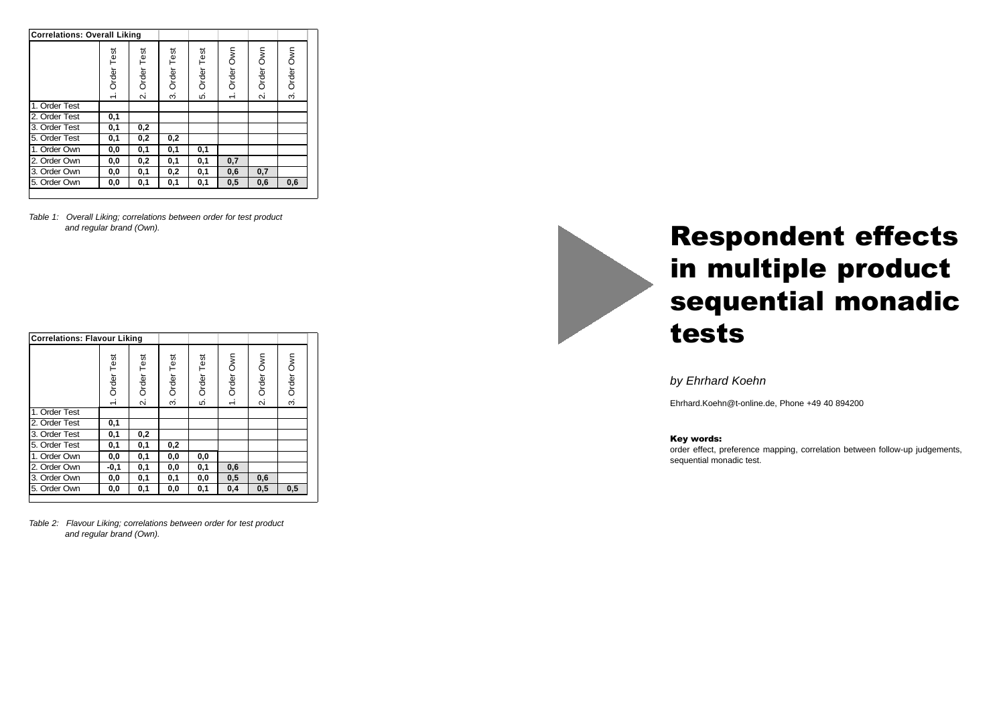*Table 1: Overall Liking; correlations between order for test product and regular brand (Own) .*

*Table 2: Flavour Liking; correlations between order for test product and regular brand (Own) .*



| <b>Correlations: Overall Liking</b> |                      |                                       |                              |                    |                     |                                      |                 |
|-------------------------------------|----------------------|---------------------------------------|------------------------------|--------------------|---------------------|--------------------------------------|-----------------|
|                                     | Order Test<br>$\div$ | Order Test<br>$\overline{\mathsf{N}}$ | Order Test<br>$\dot{\infty}$ | Order Test<br>່ເດ່ | Order Own<br>$\div$ | Order Own<br>$\overline{\mathsf{N}}$ | Order Own<br>ω. |
| 1. Order Test                       |                      |                                       |                              |                    |                     |                                      |                 |
| 2. Order Test                       | 0,1                  |                                       |                              |                    |                     |                                      |                 |
| 3. Order Test                       | 0,1                  | 0,2                                   |                              |                    |                     |                                      |                 |
| 5. Order Test                       | 0,1                  | 0,2                                   | 0,2                          |                    |                     |                                      |                 |
| 1. Order Own                        | 0,0                  | 0,1                                   | 0,1                          | 0,1                |                     |                                      |                 |
| 2. Order Own                        | 0,0                  | 0,2                                   | 0,1                          | 0,1                | 0,7                 |                                      |                 |
| 3. Order Own                        | 0,0                  | 0,1                                   | 0,2                          | 0,1                | 0,6                 | 0,7                                  |                 |
| 5. Order Own                        | 0,0                  | 0,1                                   | 0,1                          | 0,1                | 0,5                 | 0,6                                  | 0,6             |

| <b>Correlations: Flavour Liking</b> |                      |                                       |                      |                    |                        |                                    |                 |
|-------------------------------------|----------------------|---------------------------------------|----------------------|--------------------|------------------------|------------------------------------|-----------------|
|                                     | Order Test<br>$\div$ | Order Test<br>$\overline{\mathsf{N}}$ | Order Test<br>$\sim$ | Order Test<br>່ເດ່ | Own<br>Order<br>$\div$ | Own<br>Order<br>$\mathbf{\dot{N}}$ | Order Own<br>ω. |
| 1. Order Test                       |                      |                                       |                      |                    |                        |                                    |                 |
| 2. Order Test                       | 0,1                  |                                       |                      |                    |                        |                                    |                 |
| 3. Order Test                       | 0,1                  | 0,2                                   |                      |                    |                        |                                    |                 |
| 5. Order Test                       | 0,1                  | 0,1                                   | 0,2                  |                    |                        |                                    |                 |
| 1. Order Own                        | 0,0                  | 0,1                                   | 0,0                  | 0,0                |                        |                                    |                 |
| 2. Order Own                        | $-0,1$               | 0,1                                   | 0,0                  | 0,1                | 0,6                    |                                    |                 |
| 3. Order Own                        | 0,0                  | 0,1                                   | 0,1                  | 0,0                | 0,5                    | 0,6                                |                 |
| 5. Order Own                        | 0,0                  | 0,1                                   | 0,0                  | 0,1                | 0,4                    | 0,5                                | 0,5             |

## Respondent effects in multiple product sequential monadi c

# test s

*by Ehrhard Koeh n*

Ehrhard.Koehn@t-online.de, Phone +49 40 89420 0

Key words :

order effect, preference mapping, correlation between follow-up judgements , sequential monadic test .